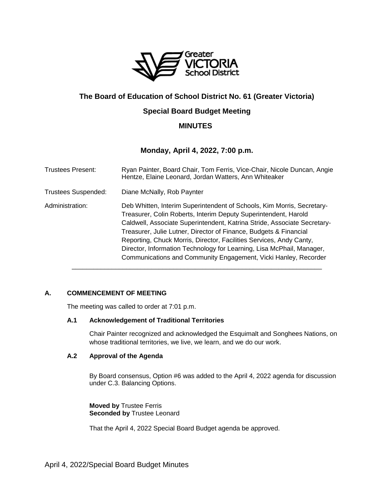

# **The Board of Education of School District No. 61 (Greater Victoria)**

# **Special Board Budget Meeting**

# **MINUTES**

# **Monday, April 4, 2022, 7:00 p.m.**

| <b>Trustees Present:</b>   | Ryan Painter, Board Chair, Tom Ferris, Vice-Chair, Nicole Duncan, Angie<br>Hentze, Elaine Leonard, Jordan Watters, Ann Whiteaker                                                                                                                                                                                                                                                                                                                                                                              |
|----------------------------|---------------------------------------------------------------------------------------------------------------------------------------------------------------------------------------------------------------------------------------------------------------------------------------------------------------------------------------------------------------------------------------------------------------------------------------------------------------------------------------------------------------|
| <b>Trustees Suspended:</b> | Diane McNally, Rob Paynter                                                                                                                                                                                                                                                                                                                                                                                                                                                                                    |
| Administration:            | Deb Whitten, Interim Superintendent of Schools, Kim Morris, Secretary-<br>Treasurer, Colin Roberts, Interim Deputy Superintendent, Harold<br>Caldwell, Associate Superintendent, Katrina Stride, Associate Secretary-<br>Treasurer, Julie Lutner, Director of Finance, Budgets & Financial<br>Reporting, Chuck Morris, Director, Facilities Services, Andy Canty,<br>Director, Information Technology for Learning, Lisa McPhail, Manager,<br>Communications and Community Engagement, Vicki Hanley, Recorder |

# **A. COMMENCEMENT OF MEETING**

The meeting was called to order at 7:01 p.m.

# **A.1 Acknowledgement of Traditional Territories**

Chair Painter recognized and acknowledged the Esquimalt and Songhees Nations, on whose traditional territories, we live, we learn, and we do our work.

# **A.2 Approval of the Agenda**

By Board consensus, Option #6 was added to the April 4, 2022 agenda for discussion under C.3. Balancing Options.

**Moved by** Trustee Ferris **Seconded by** Trustee Leonard

That the April 4, 2022 Special Board Budget agenda be approved.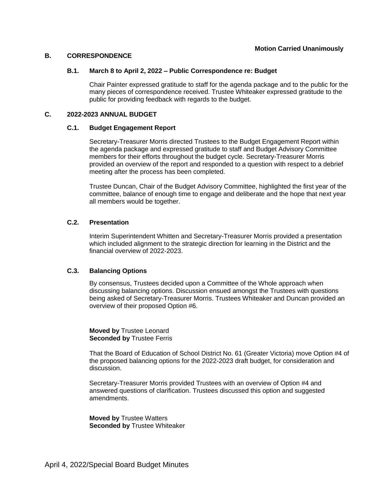# **B. CORRESPONDENCE**

## **B.1. March 8 to April 2, 2022 – Public Correspondence re: Budget**

Chair Painter expressed gratitude to staff for the agenda package and to the public for the many pieces of correspondence received. Trustee Whiteaker expressed gratitude to the public for providing feedback with regards to the budget.

## **C. 2022-2023 ANNUAL BUDGET**

## **C.1. Budget Engagement Report**

Secretary-Treasurer Morris directed Trustees to the Budget Engagement Report within the agenda package and expressed gratitude to staff and Budget Advisory Committee members for their efforts throughout the budget cycle. Secretary-Treasurer Morris provided an overview of the report and responded to a question with respect to a debrief meeting after the process has been completed.

Trustee Duncan, Chair of the Budget Advisory Committee, highlighted the first year of the committee, balance of enough time to engage and deliberate and the hope that next year all members would be together.

# **C.2. Presentation**

Interim Superintendent Whitten and Secretary-Treasurer Morris provided a presentation which included alignment to the strategic direction for learning in the District and the financial overview of 2022-2023.

# **C.3. Balancing Options**

By consensus, Trustees decided upon a Committee of the Whole approach when discussing balancing options. Discussion ensued amongst the Trustees with questions being asked of Secretary-Treasurer Morris. Trustees Whiteaker and Duncan provided an overview of their proposed Option #6.

**Moved by** Trustee Leonard **Seconded by Trustee Ferris** 

That the Board of Education of School District No. 61 (Greater Victoria) move Option #4 of the proposed balancing options for the 2022-2023 draft budget, for consideration and discussion.

Secretary-Treasurer Morris provided Trustees with an overview of Option #4 and answered questions of clarification. Trustees discussed this option and suggested amendments.

**Moved by** Trustee Watters **Seconded by** Trustee Whiteaker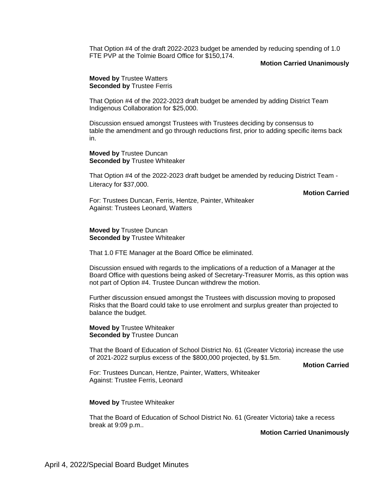That Option #4 of the draft 2022-2023 budget be amended by reducing spending of 1.0 FTE PVP at the Tolmie Board Office for \$150,174.

### **Motion Carried Unanimously**

**Moved by** Trustee Watters **Seconded by Trustee Ferris** 

That Option #4 of the 2022-2023 draft budget be amended by adding District Team Indigenous Collaboration for \$25,000.

Discussion ensued amongst Trustees with Trustees deciding by consensus to table the amendment and go through reductions first, prior to adding specific items back in.

**Moved by** Trustee Duncan **Seconded by** Trustee Whiteaker

That Option #4 of the 2022-2023 draft budget be amended by reducing District Team - Literacy for \$37,000.

**Motion Carried**

For: Trustees Duncan, Ferris, Hentze, Painter, Whiteaker Against: Trustees Leonard, Watters

## **Moved by** Trustee Duncan **Seconded by** Trustee Whiteaker

That 1.0 FTE Manager at the Board Office be eliminated.

Discussion ensued with regards to the implications of a reduction of a Manager at the Board Office with questions being asked of Secretary-Treasurer Morris, as this option was not part of Option #4. Trustee Duncan withdrew the motion.

Further discussion ensued amongst the Trustees with discussion moving to proposed Risks that the Board could take to use enrolment and surplus greater than projected to balance the budget.

**Moved by** Trustee Whiteaker **Seconded by** Trustee Duncan

That the Board of Education of School District No. 61 (Greater Victoria) increase the use of 2021-2022 surplus excess of the \$800,000 projected, by \$1.5m.

**Motion Carried** 

For: Trustees Duncan, Hentze, Painter, Watters, Whiteaker Against: Trustee Ferris, Leonard

**Moved by** Trustee Whiteaker

That the Board of Education of School District No. 61 (Greater Victoria) take a recess break at 9:09 p.m..

**Motion Carried Unanimously**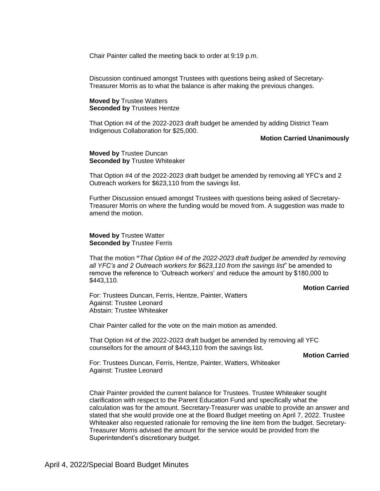Chair Painter called the meeting back to order at 9:19 p.m.

Discussion continued amongst Trustees with questions being asked of Secretary-Treasurer Morris as to what the balance is after making the previous changes.

**Moved by** Trustee Watters **Seconded by** Trustees Hentze

That Option #4 of the 2022-2023 draft budget be amended by adding District Team Indigenous Collaboration for \$25,000.

#### **Motion Carried Unanimously**

**Moved by** Trustee Duncan **Seconded by** Trustee Whiteaker

That Option #4 of the 2022-2023 draft budget be amended by removing all YFC's and 2 Outreach workers for \$623,110 from the savings list.

Further Discussion ensued amongst Trustees with questions being asked of Secretary-Treasurer Morris on where the funding would be moved from. A suggestion was made to amend the motion.

**Moved by** Trustee Watter **Seconded by Trustee Ferris** 

That the motion **"***That Option #4 of the 2022-2023 draft budget be amended by removing all YFC's and 2 Outreach workers for \$623,110 from the savings list*" be amended to remove the reference to 'Outreach worke*rs*' and reduce the amount by \$180,000 to \$443,110.

### **Motion Carried**

For: Trustees Duncan, Ferris, Hentze, Painter, Watters Against: Trustee Leonard Abstain: Trustee Whiteaker

Chair Painter called for the vote on the main motion as amended.

That Option #4 of the 2022-2023 draft budget be amended by removing all YFC counsellors for the amount of \$443,110 from the savings list.

### **Motion Carried**

For: Trustees Duncan, Ferris, Hentze, Painter, Watters, Whiteaker Against: Trustee Leonard

Chair Painter provided the current balance for Trustees. Trustee Whiteaker sought clarification with respect to the Parent Education Fund and specifically what the calculation was for the amount. Secretary-Treasurer was unable to provide an answer and stated that she would provide one at the Board Budget meeting on April 7, 2022. Trustee Whiteaker also requested rationale for removing the line item from the budget. Secretary-Treasurer Morris advised the amount for the service would be provided from the Superintendent's discretionary budget.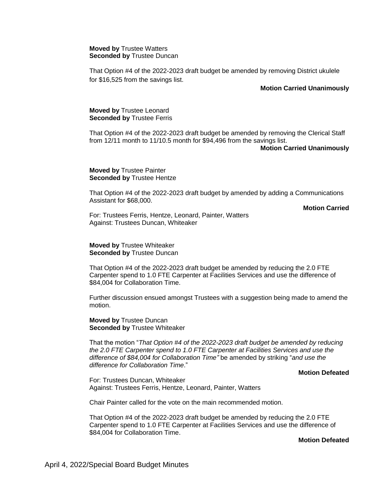### **Moved by** Trustee Watters **Seconded by** Trustee Duncan

That Option #4 of the 2022-2023 draft budget be amended by removing District ukulele for \$16,525 from the savings list.

### **Motion Carried Unanimously**

## **Moved by** Trustee Leonard **Seconded by** Trustee Ferris

That Option #4 of the 2022-2023 draft budget be amended by removing the Clerical Staff from 12/11 month to 11/10.5 month for \$94,496 from the savings list.

#### **Motion Carried Unanimously**

## **Moved by** Trustee Painter **Seconded by** Trustee Hentze

That Option #4 of the 2022-2023 draft budget by amended by adding a Communications Assistant for \$68,000.

**Motion Carried**

For: Trustees Ferris, Hentze, Leonard, Painter, Watters Against: Trustees Duncan, Whiteaker

## **Moved by** Trustee Whiteaker **Seconded by** Trustee Duncan

That Option #4 of the 2022-2023 draft budget be amended by reducing the 2.0 FTE Carpenter spend to 1.0 FTE Carpenter at Facilities Services and use the difference of \$84,004 for Collaboration Time.

Further discussion ensued amongst Trustees with a suggestion being made to amend the motion.

**Moved by** Trustee Duncan **Seconded by** Trustee Whiteaker

That the motion "*That Option #4 of the 2022-2023 draft budget be amended by* r*educing the 2.0 FTE Carpenter spend to 1.0 FTE Carpenter at Facilities Services and use the difference of \$84,004 for Collaboration Time"* be amended by striking "*and use the difference for Collaboration Time*."

# **Motion Defeated**

For: Trustees Duncan, Whiteaker Against: Trustees Ferris, Hentze, Leonard, Painter, Watters

Chair Painter called for the vote on the main recommended motion.

That Option #4 of the 2022-2023 draft budget be amended by reducing the 2.0 FTE Carpenter spend to 1.0 FTE Carpenter at Facilities Services and use the difference of \$84,004 for Collaboration Time.

**Motion Defeated**